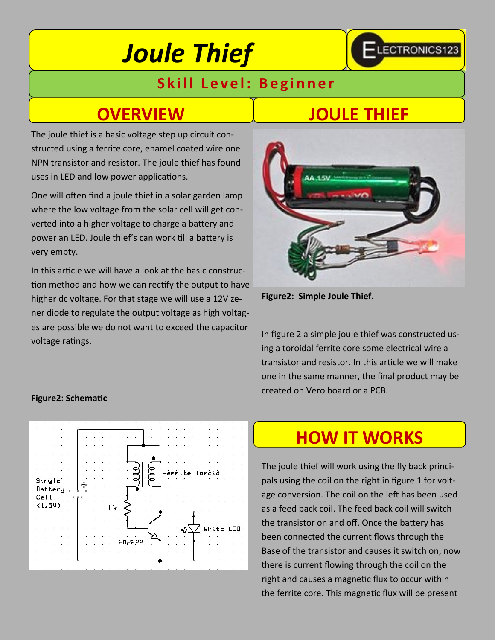# *Joule Thief*

### **Skill Level: Beginner**

The joule thief is a basic voltage step up circuit constructed using a ferrite core, enamel coated wire one NPN transistor and resistor. The joule thief has found uses in LED and low power applications.

One will often find a joule thief in a solar garden lamp where the low voltage from the solar cell will get converted into a higher voltage to charge a battery and power an LED. Joule thief's can work till a battery is very empty.

In this article we will have a look at the basic construction method and how we can rectify the output to have higher dc voltage. For that stage we will use a 12V zener diode to regulate the output voltage as high voltages are possible we do not want to exceed the capacitor voltage ratings.

### **OVERVIEW JOULE THIEF**

**ELECTRONICS123** 



**Figure2: Simple Joule Thief.** 

In figure 2 a simple joule thief was constructed using a toroidal ferrite core some electrical wire a transistor and resistor. In this article we will make one in the same manner, the final product may be created on Vero board or a PCB.

### **Figure2: Schematic**



### **HOW IT WORKS**

The joule thief will work using the fly back principals using the coil on the right in figure 1 for voltage conversion. The coil on the left has been used as a feed back coil. The feed back coil will switch the transistor on and off. Once the battery has been connected the current flows through the Base of the transistor and causes it switch on, now there is current flowing through the coil on the right and causes a magnetic flux to occur within the ferrite core. This magnetic flux will be present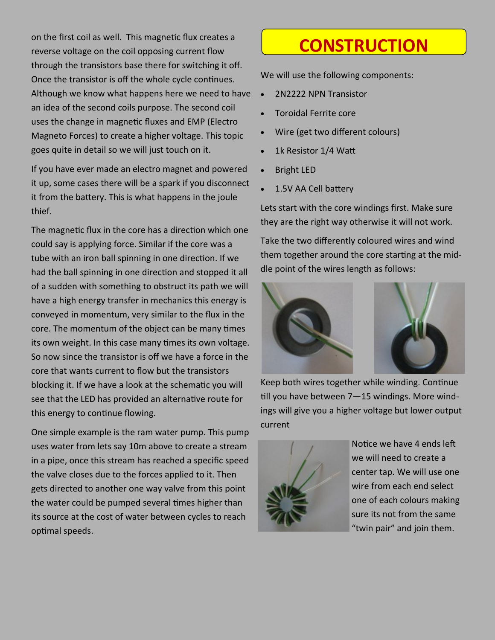on the first coil as well. This magnetic flux creates a reverse voltage on the coil opposing current flow through the transistors base there for switching it off. Once the transistor is off the whole cycle continues. Although we know what happens here we need to have an idea of the second coils purpose. The second coil uses the change in magnetic fluxes and EMP (Electro Magneto Forces) to create a higher voltage. This topic goes quite in detail so we will just touch on it.

If you have ever made an electro magnet and powered it up, some cases there will be a spark if you disconnect it from the battery. This is what happens in the joule thief.

The magnetic flux in the core has a direction which one could say is applying force. Similar if the core was a tube with an iron ball spinning in one direction. If we had the ball spinning in one direction and stopped it all of a sudden with something to obstruct its path we will have a high energy transfer in mechanics this energy is conveyed in momentum, very similar to the flux in the core. The momentum of the object can be many times its own weight. In this case many times its own voltage. So now since the transistor is off we have a force in the core that wants current to flow but the transistors blocking it. If we have a look at the schematic you will see that the LED has provided an alternative route for this energy to continue flowing.

One simple example is the ram water pump. This pump uses water from lets say 10m above to create a stream in a pipe, once this stream has reached a specific speed the valve closes due to the forces applied to it. Then gets directed to another one way valve from this point the water could be pumped several times higher than its source at the cost of water between cycles to reach optimal speeds.

### **CONSTRUCTION**

We will use the following components:

- 2N2222 NPN Transistor
- Toroidal Ferrite core
- Wire (get two different colours)
- 1k Resistor 1/4 Watt
- Bright LED
- 1.5V AA Cell battery

Lets start with the core windings first. Make sure they are the right way otherwise it will not work.

Take the two differently coloured wires and wind them together around the core starting at the middle point of the wires length as follows:



Keep both wires together while winding. Continue till you have between 7—15 windings. More windings will give you a higher voltage but lower output current



Notice we have 4 ends left we will need to create a center tap. We will use one wire from each end select one of each colours making sure its not from the same "twin pair" and join them.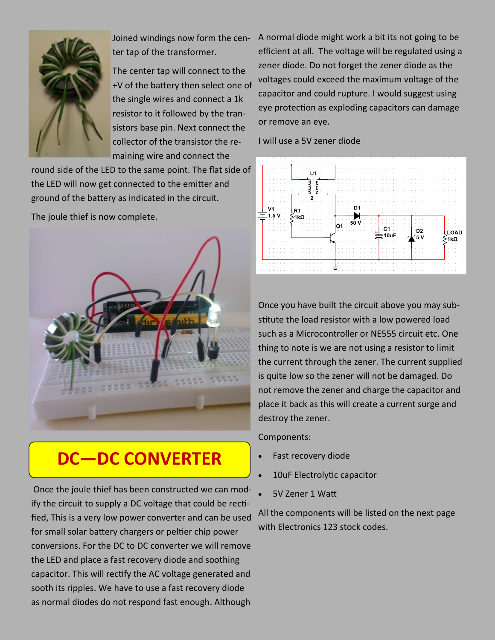

Joined windings now form the center tap of the transformer.

The center tap will connect to the +V of the battery then select one of the single wires and connect a 1k resistor to it followed by the transistors base pin. Next connect the collector of the transistor the remaining wire and connect the

round side of the LED to the same point. The flat side of the LED will now get connected to the emitter and ground of the battery as indicated in the circuit.

The joule thief is now complete.



## **DC—DC CONVERTER**

Once the joule thief has been constructed we can modify the circuit to supply a DC voltage that could be rectified, This is a very low power converter and can be used for small solar battery chargers or peltier chip power conversions. For the DC to DC converter we will remove the LED and place a fast recovery diode and soothing capacitor. This will rectify the AC voltage generated and sooth its ripples. We have to use a fast recovery diode as normal diodes do not respond fast enough. Although

A normal diode might work a bit its not going to be efficient at all. The voltage will be regulated using a zener diode. Do not forget the zener diode as the voltages could exceed the maximum voltage of the capacitor and could rupture. I would suggest using eye protection as exploding capacitors can damage or remove an eye.

I will use a 5V zener diode



Once you have built the circuit above you may substitute the load resistor with a low powered load such as a Microcontroller or NE555 circuit etc. One thing to note is we are not using a resistor to limit the current through the zener. The current supplied is quite low so the zener will not be damaged. Do not remove the zener and charge the capacitor and place it back as this will create a current surge and destroy the zener.

Components:

- Fast recovery diode
- 10uF Electrolytic capacitor
- 5V Zener 1 Watt

All the components will be listed on the next page with Electronics 123 stock codes.